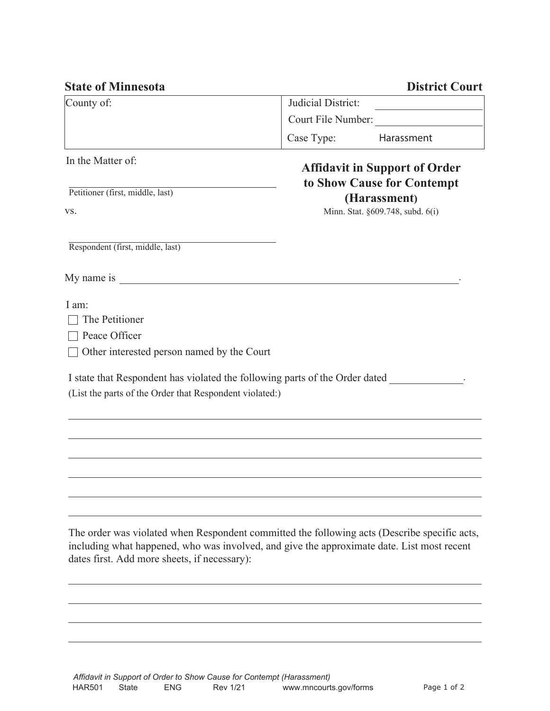| <b>State of Minnesota</b>                                                                                                                         | <b>District Court</b>                                                                                                                                                                      |
|---------------------------------------------------------------------------------------------------------------------------------------------------|--------------------------------------------------------------------------------------------------------------------------------------------------------------------------------------------|
| County of:                                                                                                                                        | Judicial District:                                                                                                                                                                         |
|                                                                                                                                                   | Court File Number:                                                                                                                                                                         |
|                                                                                                                                                   | Case Type:<br>Harassment                                                                                                                                                                   |
| In the Matter of:<br>Petitioner (first, middle, last)<br>VS.                                                                                      | <b>Affidavit in Support of Order</b><br>to Show Cause for Contempt<br>(Harassment)<br>Minn. Stat. §609.748, subd. 6(i)                                                                     |
| Respondent (first, middle, last)                                                                                                                  |                                                                                                                                                                                            |
|                                                                                                                                                   |                                                                                                                                                                                            |
| I am:<br>The Petitioner<br>Peace Officer<br>Other interested person named by the Court<br>(List the parts of the Order that Respondent violated:) | I state that Respondent has violated the following parts of the Order dated.                                                                                                               |
|                                                                                                                                                   |                                                                                                                                                                                            |
| dates first. Add more sheets, if necessary):                                                                                                      | The order was violated when Respondent committed the following acts (Describe specific acts,<br>including what happened, who was involved, and give the approximate date. List most recent |
|                                                                                                                                                   |                                                                                                                                                                                            |